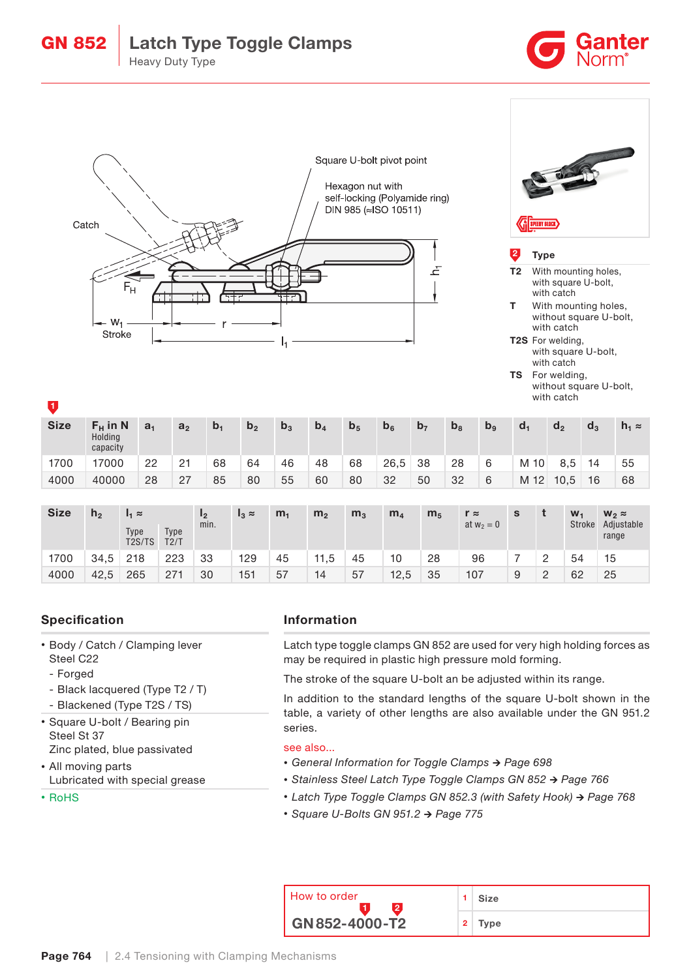# GN 852 | Latch Type Toggle Clamps Heavy Duty Type





#### **Type**

- T2 With mounting holes, with square U-bolt, with catch
- **T** With mounting holes, without square U-bolt, with catch
- T2S For welding, with square U-bolt, with catch
- TS For welding, without square U-bolt, with catch

| <b>Size</b> | $F_H$ in N<br>Holding<br>capacity | a <sub>1</sub> | a <sub>2</sub> | $b_1$ | b <sub>2</sub> | $b_3$ | b <sub>4</sub> | b <sub>5</sub> | b <sub>6</sub> | b <sub>7</sub> | b <sub>8</sub> | b <sub>9</sub> | d.   | d,   | $d_3$ | $h_1 \approx$ |
|-------------|-----------------------------------|----------------|----------------|-------|----------------|-------|----------------|----------------|----------------|----------------|----------------|----------------|------|------|-------|---------------|
| 1700        | 17000                             | 22             | 21             | 68    | 64             | 46    | 48             | 68             | 26,5           | 38             | 28             | 6              | M 10 | 8.5  | 14    | 55            |
| 4000        | 40000                             | 28             | 27             | 85    | 80             | 55    | 60             | 80             | 32             | 50             | 32             | 6              | M 12 | 10.5 | 16    | 68            |

| <b>Size</b> | h <sub>2</sub> | $I_1 \approx$                           |              |      | $I_3 \approx$ | m <sub>1</sub> | m <sub>2</sub> | m <sub>3</sub> | m <sub>4</sub> | m <sub>5</sub> | $r \approx$  | s |         | $W_1$         | $W_2 \approx$       |
|-------------|----------------|-----------------------------------------|--------------|------|---------------|----------------|----------------|----------------|----------------|----------------|--------------|---|---------|---------------|---------------------|
|             |                | Type<br>T <sub>2</sub> S/T <sub>S</sub> | Type<br>T2/T | min. |               |                |                |                |                |                | at $w_2 = 0$ |   |         | <b>Stroke</b> | Adjustable<br>range |
| 1700        | 34.5           | 218                                     | 223          | 33   | 129           | 45             | 11,5           | 45             | 10             | 28             | 96           |   |         | 54            | 15                  |
| 4000        | 42.5           | 265                                     | 271          | 30   | 151           | 57             | 14             | 57             | 12.5           | 35             | 107          | 9 | $\circ$ | 62            | 25                  |

## Specification

- Body / Catch / Clamping lever Steel C22
	- Forged
	- Black lacquered (Type T2 / T)
	- Blackened (Type T2S / TS)
- Square U-bolt / Bearing pin Steel St 37 Zinc plated, blue passivated

• All moving parts Lubricated with special grease

• RoHS

### Information

Latch type toggle clamps GN 852 are used for very high holding forces as may be required in plastic high pressure mold forming.

The stroke of the square U-bolt an be adjusted within its range.

In addition to the standard lengths of the square U-bolt shown in the table, a variety of other lengths are also available under the GN 951.2 series.

### see also...

- *•* General Information for Toggle Clamps → Page 698
- *•* Stainless Steel Latch Type Toggle Clamps GN 852 → Page 766
- *•* Latch Type Toggle Clamps GN 852.3 (with Safety Hook) → Page 768
- *•* Square U-Bolts GN 951.2 → Page 775

| I How to order                |                | Size |
|-------------------------------|----------------|------|
| $\overline{6}$ GN 852-4000-T2 | $\overline{2}$ | Type |